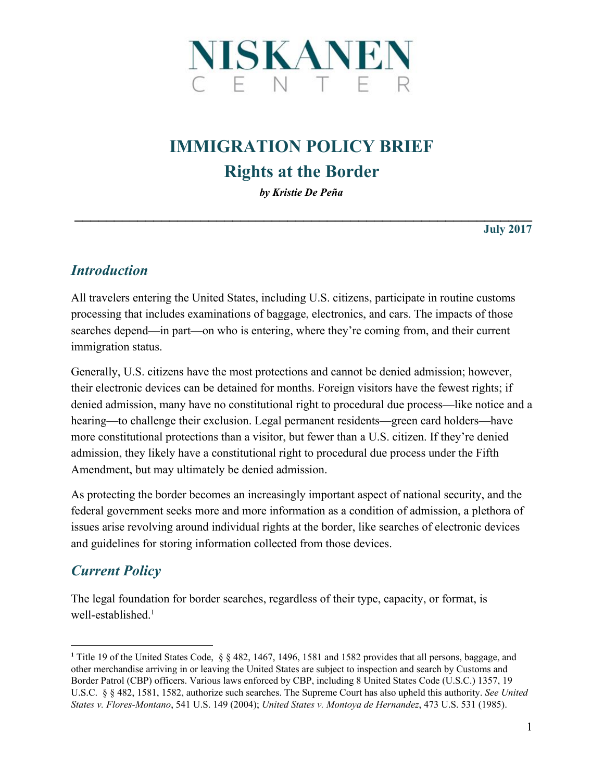

# **IMMIGRATION POLICY BRIEF Rights at the Border**

*by Kristie De Peña*

**\_\_\_\_\_\_\_\_\_\_\_\_\_\_\_\_\_\_\_\_\_\_\_\_\_\_\_\_\_\_\_\_\_\_\_\_\_\_\_\_\_\_\_\_\_\_\_\_\_\_\_\_\_\_\_\_\_\_**

**July 2017**

#### *Introduction*

All travelers entering the United States, including U.S. citizens, participate in routine customs processing that includes examinations of baggage, electronics, and cars. The impacts of those searches depend—in part—on who is entering, where they're coming from, and their current immigration status.

Generally, U.S. citizens have the most protections and cannot be denied admission; however, their electronic devices can be detained for months. Foreign visitors have the fewest rights; if denied admission, many have no constitutional right to procedural due process—like notice and a hearing—to challenge their exclusion. Legal permanent residents—green card holders—have more constitutional protections than a visitor, but fewer than a U.S. citizen. If they're denied admission, they likely have a constitutional right to procedural due process under the Fifth Amendment, but may ultimately be denied admission.

As protecting the border becomes an increasingly important aspect of national security, and the federal government seeks more and more information as a condition of admission, a plethora of issues arise revolving around individual rights at the border, like searches of electronic devices and guidelines for storing information collected from those devices.

### *Current Policy*

The legal foundation for border searches, regardless of their type, capacity, or format, is well-established.<sup>1</sup>

**<sup>1</sup>** Title 19 of the United States Code, § § 482, 1467, 1496, 1581 and 1582 provides that all persons, baggage, and other merchandise arriving in or leaving the United States are subject to inspection and search by Customs and Border Patrol (CBP) officers. Various laws enforced by CBP, including 8 United States Code (U.S.C.) 1357, 19 U.S.C. § § 482, 1581, 1582, authorize such searches. The Supreme Court has also upheld this authority. *See United States v. Flores-Montano*, 541 U.S. 149 (2004); *United States v. Montoya de Hernandez*, 473 U.S. 531 (1985).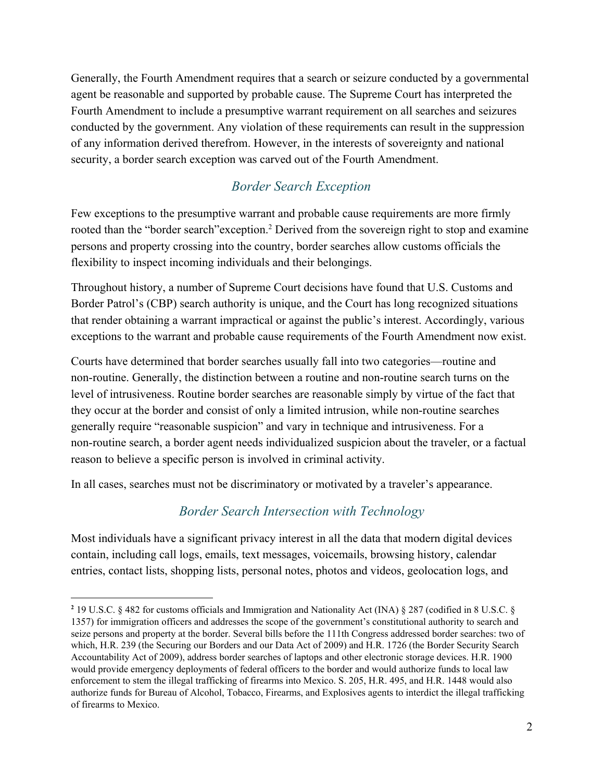Generally, the Fourth Amendment requires that a search or seizure conducted by a governmental agent be reasonable and supported by probable cause. The Supreme Court has interpreted the Fourth Amendment to include a presumptive warrant requirement on all searches and seizures conducted by the government. Any violation of these requirements can result in the suppression of any information derived therefrom. However, in the interests of sovereignty and national security, a border search exception was carved out of the Fourth Amendment.

## *Border Search Exception*

Few exceptions to the presumptive warrant and probable cause requirements are more firmly rooted than the "border search" exception.<sup>2</sup> Derived from the sovereign right to stop and examine persons and property crossing into the country, border searches allow customs officials the flexibility to inspect incoming individuals and their belongings.

Throughout history, a number of Supreme Court decisions have found that U.S. Customs and Border Patrol's (CBP) search authority is unique, and the Court has long recognized situations that render obtaining a warrant impractical or against the public's interest. Accordingly, various exceptions to the warrant and probable cause requirements of the Fourth Amendment now exist.

Courts have determined that border searches usually fall into two categories—routine and non-routine. Generally, the distinction between a routine and non-routine search turns on the level of intrusiveness. Routine border searches are reasonable simply by virtue of the fact that they occur at the border and consist of only a limited intrusion, while non-routine searches generally require "reasonable suspicion" and vary in technique and intrusiveness. For a non-routine search, a border agent needs individualized suspicion about the traveler, or a factual reason to believe a specific person is involved in criminal activity.

In all cases, searches must not be discriminatory or motivated by a traveler's appearance.

### *Border Search Intersection with Technology*

Most individuals have a significant privacy interest in all the data that modern digital devices contain, including call logs, emails, text messages, voicemails, browsing history, calendar entries, contact lists, shopping lists, personal notes, photos and videos, geolocation logs, and

**<sup>2</sup>** 19 U.S.C. § 482 for customs officials and Immigration and Nationality Act (INA) § 287 (codified in 8 U.S.C. § 1357) for immigration officers and addresses the scope of the government's constitutional authority to search and seize persons and property at the border. Several bills before the 111th Congress addressed border searches: two of which, H.R. 239 (the Securing our Borders and our Data Act of 2009) and H.R. 1726 (the Border Security Search Accountability Act of 2009), address border searches of laptops and other electronic storage devices. H.R. 1900 would provide emergency deployments of federal officers to the border and would authorize funds to local law enforcement to stem the illegal trafficking of firearms into Mexico. S. 205, H.R. 495, and H.R. 1448 would also authorize funds for Bureau of Alcohol, Tobacco, Firearms, and Explosives agents to interdict the illegal trafficking of firearms to Mexico.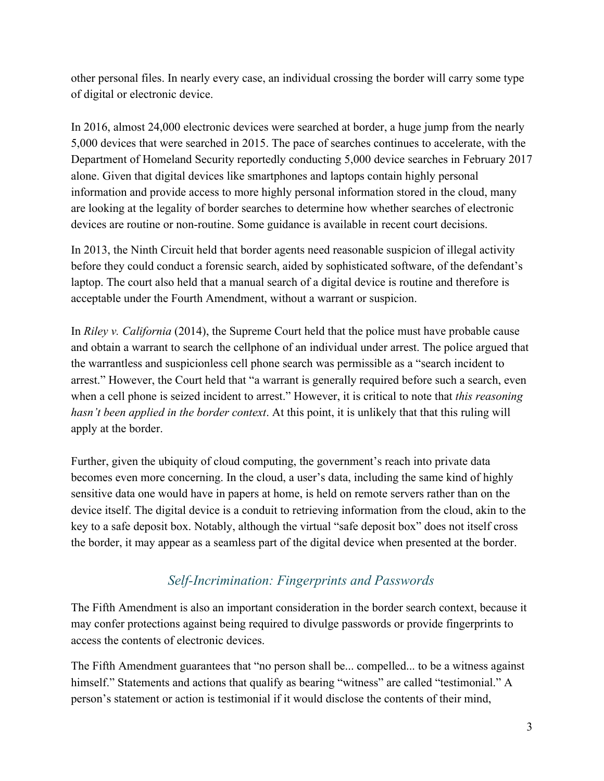other personal files. In nearly every case, an individual crossing the border will carry some type of digital or electronic device.

In 2016, almost 24,000 electronic devices were searched at border, a huge jump from the nearly 5,000 devices that were searched in 2015. The pace of searches continues to accelerate, with the Department of Homeland Security reportedly conducting 5,000 device searches in February 2017 alone. Given that digital devices like smartphones and laptops contain highly personal information and provide access to more highly personal information stored in the cloud, many are looking at the legality of border searches to determine how whether searches of electronic devices are routine or non-routine. Some guidance is available in recent court decisions.

In 2013, the Ninth Circuit held that border agents need reasonable suspicion of illegal activity before they could conduct a forensic search, aided by sophisticated software, of the defendant's laptop. The court also held that a manual search of a digital device is routine and therefore is acceptable under the Fourth Amendment, without a warrant or suspicion.

In *Riley v. California* (2014), the Supreme Court held that the police must have probable cause and obtain a warrant to search the cellphone of an individual under arrest. The police argued that the warrantless and suspicionless cell phone search was permissible as a "search incident to arrest." However, the Court held that "a warrant is generally required before such a search, even when a cell phone is seized incident to arrest." However, it is critical to note that *this reasoning hasn't been applied in the border context*. At this point, it is unlikely that that this ruling will apply at the border.

Further, given the ubiquity of cloud computing, the government's reach into private data becomes even more concerning. In the cloud, a user's data, including the same kind of highly sensitive data one would have in papers at home, is held on remote servers rather than on the device itself. The digital device is a conduit to retrieving information from the cloud, akin to the key to a safe deposit box. Notably, although the virtual "safe deposit box" does not itself cross the border, it may appear as a seamless part of the digital device when presented at the border.

#### *Self-Incrimination: Fingerprints and Passwords*

The Fifth Amendment is also an important consideration in the border search context, because it may confer protections against being required to divulge passwords or provide fingerprints to access the contents of electronic devices.

The Fifth Amendment guarantees that "no person shall be... compelled... to be a witness against himself." Statements and actions that qualify as bearing "witness" are called "testimonial." A person's statement or action is testimonial if it would disclose the contents of their mind,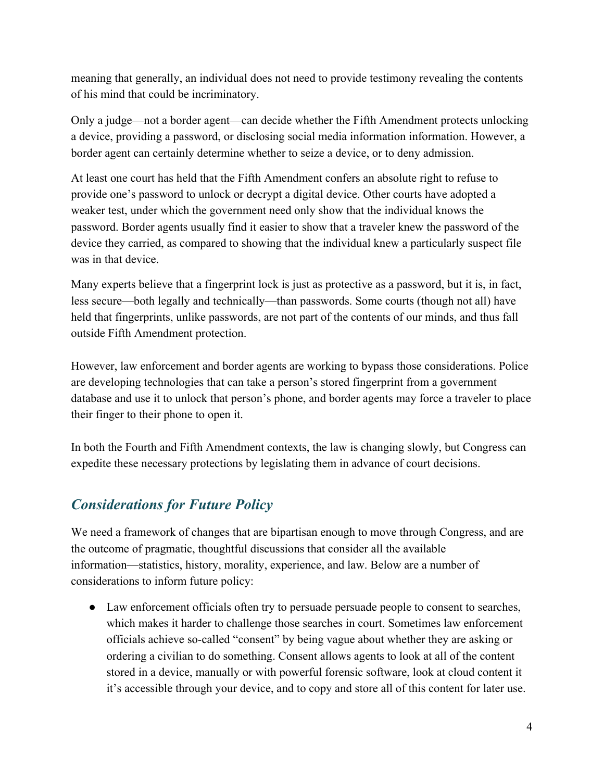meaning that generally, an individual does not need to provide testimony revealing the contents of his mind that could be incriminatory.

Only a judge—not a border agent—can decide whether the Fifth Amendment protects unlocking a device, providing a password, or disclosing social media information information. However, a border agent can certainly determine whether to seize a device, or to deny admission.

At least one court has held that the Fifth Amendment confers an absolute right to refuse to provide one's password to unlock or decrypt a digital device. Other courts have adopted a weaker test, under which the government need only show that the individual knows the password. Border agents usually find it easier to show that a traveler knew the password of the device they carried, as compared to showing that the individual knew a particularly suspect file was in that device.

Many experts believe that a fingerprint lock is just as protective as a password, but it is, in fact, less secure—both legally and technically—than passwords. Some courts (though not all) have held that fingerprints, unlike passwords, are not part of the contents of our minds, and thus fall outside Fifth Amendment protection.

However, law enforcement and border agents are working to bypass those considerations. Police are developing technologies that can take a person's stored fingerprint from a government database and use it to unlock that person's phone, and border agents may force a traveler to place their finger to their phone to open it.

In both the Fourth and Fifth Amendment contexts, the law is changing slowly, but Congress can expedite these necessary protections by legislating them in advance of court decisions.

## *Considerations for Future Policy*

We need a framework of changes that are bipartisan enough to move through Congress, and are the outcome of pragmatic, thoughtful discussions that consider all the available information—statistics, history, morality, experience, and law. Below are a number of considerations to inform future policy:

● Law enforcement officials often try to persuade persuade people to consent to searches, which makes it harder to challenge those searches in court. Sometimes law enforcement officials achieve so-called "consent" by being vague about whether they are asking or ordering a civilian to do something. Consent allows agents to look at all of the content stored in a device, manually or with powerful forensic software, look at cloud content it it's accessible through your device, and to copy and store all of this content for later use.